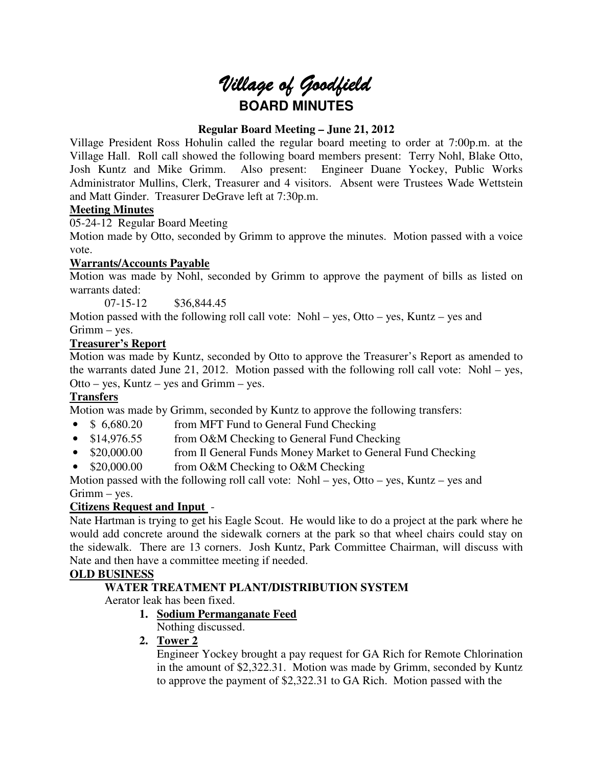# Village of Goodfield **BOARD MINUTES**

## **Regular Board Meeting – June 21, 2012**

Village President Ross Hohulin called the regular board meeting to order at 7:00p.m. at the Village Hall. Roll call showed the following board members present: Terry Nohl, Blake Otto, Josh Kuntz and Mike Grimm. Also present: Engineer Duane Yockey, Public Works Administrator Mullins, Clerk, Treasurer and 4 visitors. Absent were Trustees Wade Wettstein and Matt Ginder. Treasurer DeGrave left at 7:30p.m.

## **Meeting Minutes**

05-24-12 Regular Board Meeting

Motion made by Otto, seconded by Grimm to approve the minutes. Motion passed with a voice vote.

## **Warrants/Accounts Payable**

Motion was made by Nohl, seconded by Grimm to approve the payment of bills as listed on warrants dated:

07-15-12 \$36,844.45

Motion passed with the following roll call vote: Nohl – yes, Otto – yes, Kuntz – yes and Grimm – yes.

## **Treasurer's Report**

Motion was made by Kuntz, seconded by Otto to approve the Treasurer's Report as amended to the warrants dated June 21, 2012. Motion passed with the following roll call vote: Nohl – yes, Otto – yes, Kuntz – yes and Grimm – yes.

## **Transfers**

Motion was made by Grimm, seconded by Kuntz to approve the following transfers:

- \$ 6,680.20 from MFT Fund to General Fund Checking
- \$14,976.55 from O&M Checking to General Fund Checking
- \$20,000.00 from Il General Funds Money Market to General Fund Checking
- \$20,000.00 from O&M Checking to O&M Checking

Motion passed with the following roll call vote: Nohl – yes, Otto – yes, Kuntz – yes and Grimm – yes.

## **Citizens Request and Input** -

Nate Hartman is trying to get his Eagle Scout. He would like to do a project at the park where he would add concrete around the sidewalk corners at the park so that wheel chairs could stay on the sidewalk. There are 13 corners. Josh Kuntz, Park Committee Chairman, will discuss with Nate and then have a committee meeting if needed.

## **OLD BUSINESS**

## **WATER TREATMENT PLANT/DISTRIBUTION SYSTEM**

Aerator leak has been fixed.

## **1. Sodium Permanganate Feed**

Nothing discussed.

**2. Tower 2** 

Engineer Yockey brought a pay request for GA Rich for Remote Chlorination in the amount of \$2,322.31. Motion was made by Grimm, seconded by Kuntz to approve the payment of \$2,322.31 to GA Rich. Motion passed with the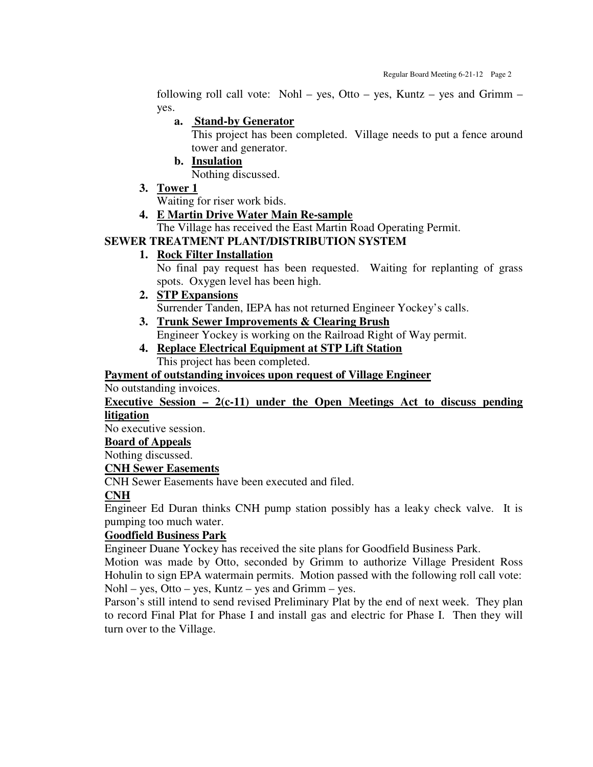following roll call vote: Nohl – yes, Otto – yes, Kuntz – yes and Grimm – yes.

## **a. Stand-by Generator**

This project has been completed. Village needs to put a fence around tower and generator.

## **b. Insulation**

Nothing discussed.

**3. Tower 1**

Waiting for riser work bids.

## **4. E Martin Drive Water Main Re-sample**

The Village has received the East Martin Road Operating Permit.

## **SEWER TREATMENT PLANT/DISTRIBUTION SYSTEM**

**1. Rock Filter Installation**

No final pay request has been requested. Waiting for replanting of grass spots. Oxygen level has been high.

## **2. STP Expansions**

Surrender Tanden, IEPA has not returned Engineer Yockey's calls.

- **3. Trunk Sewer Improvements & Clearing Brush** Engineer Yockey is working on the Railroad Right of Way permit.
- **4. Replace Electrical Equipment at STP Lift Station** This project has been completed.

## **Payment of outstanding invoices upon request of Village Engineer**

No outstanding invoices.

## **Executive Session – 2(c-11) under the Open Meetings Act to discuss pending litigation**

No executive session.

**Board of Appeals**

Nothing discussed.

## **CNH Sewer Easements**

CNH Sewer Easements have been executed and filed.

## **CNH**

Engineer Ed Duran thinks CNH pump station possibly has a leaky check valve. It is pumping too much water.

## **Goodfield Business Park**

Engineer Duane Yockey has received the site plans for Goodfield Business Park.

Motion was made by Otto, seconded by Grimm to authorize Village President Ross Hohulin to sign EPA watermain permits. Motion passed with the following roll call vote:  $Nohl - yes$ ,  $Otto - yes$ ,  $Kuntz - yes$  and  $Grimm - yes$ .

Parson's still intend to send revised Preliminary Plat by the end of next week. They plan to record Final Plat for Phase I and install gas and electric for Phase I. Then they will turn over to the Village.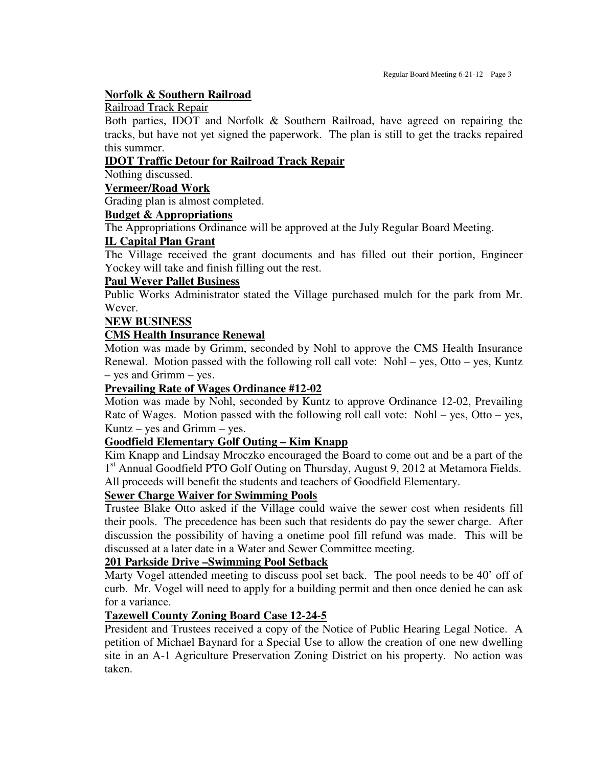## **Norfolk & Southern Railroad**

#### Railroad Track Repair

Both parties, IDOT and Norfolk & Southern Railroad, have agreed on repairing the tracks, but have not yet signed the paperwork. The plan is still to get the tracks repaired this summer.

## **IDOT Traffic Detour for Railroad Track Repair**

Nothing discussed.

## **Vermeer/Road Work**

Grading plan is almost completed.

## **Budget & Appropriations**

The Appropriations Ordinance will be approved at the July Regular Board Meeting.

## **IL Capital Plan Grant**

The Village received the grant documents and has filled out their portion, Engineer Yockey will take and finish filling out the rest.

## **Paul Wever Pallet Business**

Public Works Administrator stated the Village purchased mulch for the park from Mr. Wever.

## **NEW BUSINESS**

## **CMS Health Insurance Renewal**

Motion was made by Grimm, seconded by Nohl to approve the CMS Health Insurance Renewal. Motion passed with the following roll call vote: Nohl – yes, Otto – yes, Kuntz – yes and Grimm – yes.

## **Prevailing Rate of Wages Ordinance #12-02**

Motion was made by Nohl, seconded by Kuntz to approve Ordinance 12-02, Prevailing Rate of Wages. Motion passed with the following roll call vote: Nohl – yes, Otto – yes, Kuntz – yes and Grimm – yes.

## **Goodfield Elementary Golf Outing – Kim Knapp**

Kim Knapp and Lindsay Mroczko encouraged the Board to come out and be a part of the 1<sup>st</sup> Annual Goodfield PTO Golf Outing on Thursday, August 9, 2012 at Metamora Fields. All proceeds will benefit the students and teachers of Goodfield Elementary.

## **Sewer Charge Waiver for Swimming Pools**

Trustee Blake Otto asked if the Village could waive the sewer cost when residents fill their pools. The precedence has been such that residents do pay the sewer charge. After discussion the possibility of having a onetime pool fill refund was made. This will be discussed at a later date in a Water and Sewer Committee meeting.

## **201 Parkside Drive –Swimming Pool Setback**

Marty Vogel attended meeting to discuss pool set back. The pool needs to be 40' off of curb. Mr. Vogel will need to apply for a building permit and then once denied he can ask for a variance.

## **Tazewell County Zoning Board Case 12-24-5**

President and Trustees received a copy of the Notice of Public Hearing Legal Notice. A petition of Michael Baynard for a Special Use to allow the creation of one new dwelling site in an A-1 Agriculture Preservation Zoning District on his property. No action was taken.